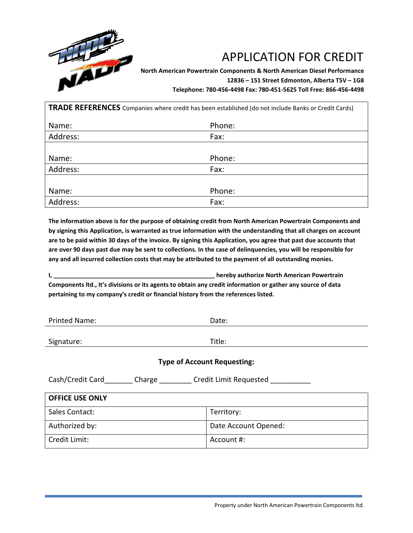

## APPLICATION FOR CREDIT

**North American Powertrain Components & North American Diesel Performance 12836 – 151 Street Edmonton, Alberta T5V – 1G8 Telephone: 780-456-4498 Fax: 780-451-5625 Toll Free: 866-456-4498**

| <b>TRADE REFERENCES</b> Companies where credit has been established (do not include Banks or Credit Cards) |        |  |
|------------------------------------------------------------------------------------------------------------|--------|--|
| Name:                                                                                                      | Phone: |  |
| Address:                                                                                                   | Fax:   |  |
|                                                                                                            |        |  |
| Name:                                                                                                      | Phone: |  |
| Address:                                                                                                   | Fax:   |  |
|                                                                                                            |        |  |
| Name:                                                                                                      | Phone: |  |
| Address:                                                                                                   | Fax:   |  |

**The information above is for the purpose of obtaining credit from North American Powertrain Components and by signing this Application, is warranted as true information with the understanding that all charges on account are to be paid within 30 days of the invoice. By signing this Application, you agree that past due accounts that are over 90 days past due may be sent to collections. In the case of delinquencies, you will be responsible for any and all incurred collection costs that may be attributed to the payment of all outstanding monies.**

**I, \_\_\_\_\_\_\_\_\_\_\_\_\_\_\_\_\_\_\_\_\_\_\_\_\_\_\_\_\_\_\_\_\_\_\_\_\_\_\_\_\_\_\_\_\_\_\_\_ hereby authorize North American Powertrain Components ltd., It's divisions or its agents to obtain any credit information or gather any source of data pertaining to my company's credit or financial history from the references listed.**

| <b>Printed Name:</b>                                                                           | Date:                  |  |
|------------------------------------------------------------------------------------------------|------------------------|--|
|                                                                                                |                        |  |
| Signature:                                                                                     | Title:                 |  |
|                                                                                                |                        |  |
| <b>Type of Account Requesting:</b>                                                             |                        |  |
| Cash/Credit Card<br>Charge $\frac{1}{\sqrt{1-\frac{1}{2}}\cdot\frac{1}{\sqrt{1-\frac{1}{2}}}}$ | Credit Limit Requested |  |
| <b>OFFICE USE ONLY</b>                                                                         |                        |  |
| Sales Contact:                                                                                 | Territory:             |  |
| Authorized by:                                                                                 | Date Account Opened:   |  |

Credit Limit:  $\vert$  Account #: